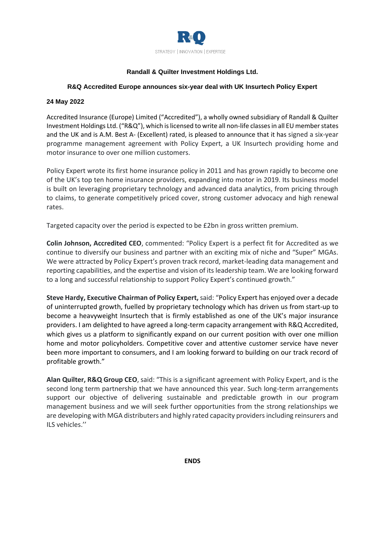

# **Randall & Quilter Investment Holdings Ltd.**

## **R&Q Accredited Europe announces six-year deal with UK Insurtech Policy Expert**

#### **24 May 2022**

Accredited Insurance (Europe) Limited ("Accredited"), a wholly owned subsidiary of Randall & Quilter Investment Holdings Ltd. ("R&Q"), which is licensed to write all non-life classes in all EU member states and the UK and is A.M. Best A- (Excellent) rated, is pleased to announce that it has signed a six-year programme management agreement with Policy Expert, a UK Insurtech providing home and motor insurance to over one million customers.

Policy Expert wrote its first home insurance policy in 2011 and has grown rapidly to become one of the UK's top ten home insurance providers, expanding into motor in 2019. Its business model is built on leveraging proprietary technology and advanced data analytics, from pricing through to claims, to generate competitively priced cover, strong customer advocacy and high renewal rates.

Targeted capacity over the period is expected to be £2bn in gross written premium.

**Colin Johnson, Accredited CEO**, commented: "Policy Expert is a perfect fit for Accredited as we continue to diversify our business and partner with an exciting mix of niche and "Super" MGAs. We were attracted by Policy Expert's proven track record, market-leading data management and reporting capabilities, and the expertise and vision of its leadership team. We are looking forward to a long and successful relationship to support Policy Expert's continued growth."

**Steve Hardy, Executive Chairman of Policy Expert,** said: "Policy Expert has enjoyed over a decade of uninterrupted growth, fuelled by proprietary technology which has driven us from start-up to become a heavyweight Insurtech that is firmly established as one of the UK's major insurance providers. I am delighted to have agreed a long-term capacity arrangement with R&Q Accredited, which gives us a platform to significantly expand on our current position with over one million home and motor policyholders. Competitive cover and attentive customer service have never been more important to consumers, and I am looking forward to building on our track record of profitable growth."

**Alan Quilter, R&Q Group CEO**, said: "This is a significant agreement with Policy Expert, and is the second long term partnership that we have announced this year. Such long-term arrangements support our objective of delivering sustainable and predictable growth in our program management business and we will seek further opportunities from the strong relationships we are developing with MGA distributers and highly rated capacity providers including reinsurers and ILS vehicles.''

**ENDS**